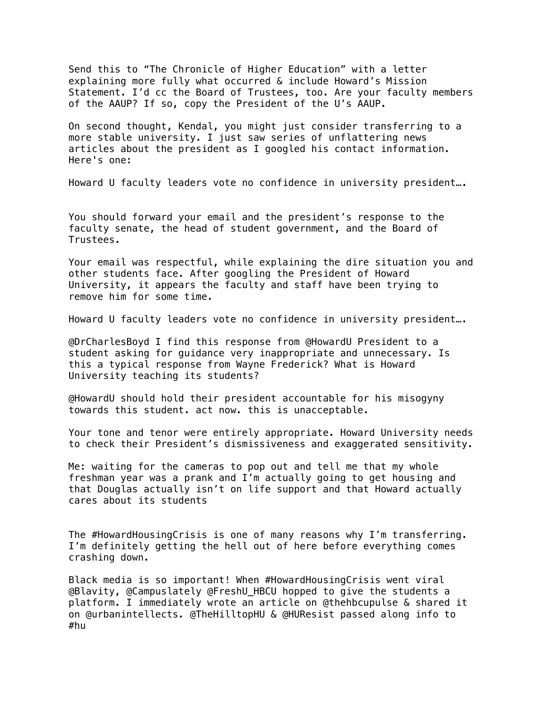Send this to "The Chronicle of Higher Education" with a letter explaining more fully what occurred & include Howard's Mission Statement. I'd cc the Board of Trustees, too. Are your faculty members of the AAUP? If so, copy the President of the U's AAUP.

On second thought, Kendal, you might just consider transferring to a more stable university. I just saw series of unflattering news articles about the president as I googled his contact information. Here's one:

Howard U faculty leaders vote no confidence in university president….

You should forward your email and the president's response to the faculty senate, the head of student government, and the Board of Trustees.

Your email was respectful, while explaining the dire situation you and other students face. After googling the President of Howard University, it appears the faculty and staff have been trying to remove him for some time.

Howard U faculty leaders vote no confidence in university president….

@DrCharlesBoyd I find this response from @HowardU President to a student asking for guidance very inappropriate and unnecessary. Is this a typical response from Wayne Frederick? What is Howard University teaching its students?

@HowardU should hold their president accountable for his misogyny towards this student. act now. this is unacceptable.

Your tone and tenor were entirely appropriate. Howard University needs to check their President's dismissiveness and exaggerated sensitivity.

Me: waiting for the cameras to pop out and tell me that my whole freshman year was a prank and I'm actually going to get housing and that Douglas actually isn't on life support and that Howard actually cares about its students

The #HowardHousingCrisis is one of many reasons why I'm transferring. I'm definitely getting the hell out of here before everything comes crashing down.

Black media is so important! When #HowardHousingCrisis went viral @Blavity, @Campuslately @FreshU\_HBCU hopped to give the students a platform. I immediately wrote an article on @thehbcupulse & shared it on @urbanintellects. @TheHilltopHU & @HUResist passed along info to #hu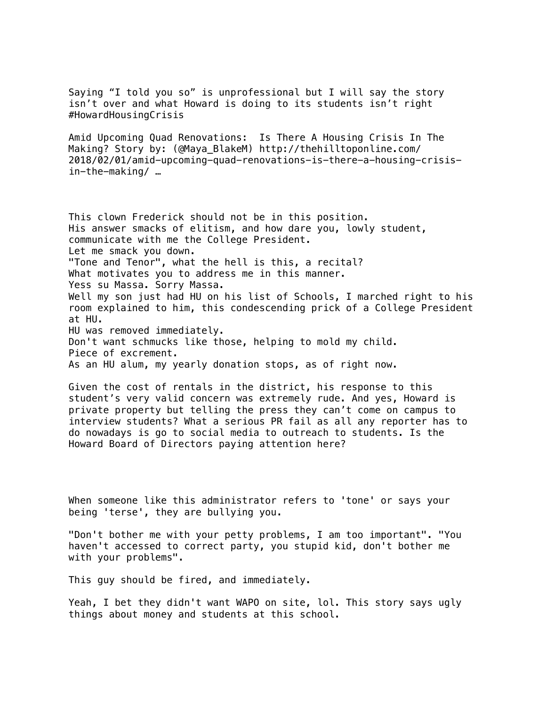Saying "I told you so" is unprofessional but I will say the story isn't over and what Howard is doing to its students isn't right #HowardHousingCrisis

Amid Upcoming Quad Renovations: Is There A Housing Crisis In The Making? Story by: (@Maya\_BlakeM) http://thehilltoponline.com/ 2018/02/01/amid-upcoming-quad-renovations-is-there-a-housing-crisisin-the-making/ …

This clown Frederick should not be in this position. His answer smacks of elitism, and how dare you, lowly student, communicate with me the College President. Let me smack you down. "Tone and Tenor", what the hell is this, a recital? What motivates you to address me in this manner. Yess su Massa. Sorry Massa. Well my son just had HU on his list of Schools, I marched right to his room explained to him, this condescending prick of a College President at HU. HU was removed immediately. Don't want schmucks like those, helping to mold my child. Piece of excrement. As an HU alum, my yearly donation stops, as of right now.

Given the cost of rentals in the district, his response to this student's very valid concern was extremely rude. And yes, Howard is private property but telling the press they can't come on campus to interview students? What a serious PR fail as all any reporter has to do nowadays is go to social media to outreach to students. Is the Howard Board of Directors paying attention here?

When someone like this administrator refers to 'tone' or says your being 'terse', they are bullying you.

"Don't bother me with your petty problems, I am too important". "You haven't accessed to correct party, you stupid kid, don't bother me with your problems".

This guy should be fired, and immediately.

Yeah, I bet they didn't want WAPO on site, lol. This story says ugly things about money and students at this school.